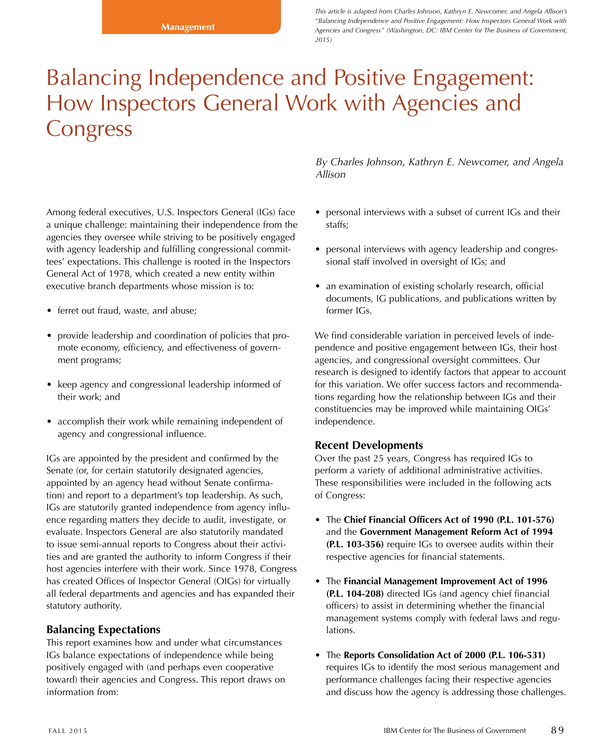*This article is adapted from Charles Johnson, Kathryn E. Newcomer, and Angela Allison's "Balancing Independence and Positive Engagement: How Inspectors General Work with Agencies and Congress" (Washington, DC: IBM Center for The Business of Government, 2015)*

# Balancing Independence and Positive Engagement: How Inspectors General Work with Agencies and Congress

Among federal executives, U.S. Inspectors General (IGs) face a unique challenge: maintaining their independence from the agencies they oversee while striving to be positively engaged with agency leadership and fulfilling congressional committees' expectations. This challenge is rooted in the Inspectors General Act of 1978, which created a new entity within executive branch departments whose mission is to:

- ferret out fraud, waste, and abuse;
- provide leadership and coordination of policies that promote economy, efficiency, and effectiveness of government programs;
- keep agency and congressional leadership informed of their work; and
- accomplish their work while remaining independent of agency and congressional influence.

IGs are appointed by the president and confirmed by the Senate (or, for certain statutorily designated agencies, appointed by an agency head without Senate confirmation) and report to a department's top leadership. As such, IGs are statutorily granted independence from agency influence regarding matters they decide to audit, investigate, or evaluate. Inspectors General are also statutorily mandated to issue semi-annual reports to Congress about their activities and are granted the authority to inform Congress if their host agencies interfere with their work. Since 1978, Congress has created Offices of Inspector General (OIGs) for virtually all federal departments and agencies and has expanded their statutory authority.

#### **Balancing Expectations**

This report examines how and under what circumstances IGs balance expectations of independence while being positively engaged with (and perhaps even cooperative toward) their agencies and Congress. This report draws on information from:

*By Charles Johnson, Kathryn E. Newcomer, and Angela Allison*

- personal interviews with a subset of current IGs and their staffs;
- personal interviews with agency leadership and congressional staff involved in oversight of IGs; and
- an examination of existing scholarly research, official documents, IG publications, and publications written by former IGs.

We find considerable variation in perceived levels of independence and positive engagement between IGs, their host agencies, and congressional oversight committees. Our research is designed to identify factors that appear to account for this variation. We offer success factors and recommendations regarding how the relationship between IGs and their constituencies may be improved while maintaining OIGs' independence.

#### **Recent Developments**

Over the past 25 years, Congress has required IGs to perform a variety of additional administrative activities. These responsibilities were included in the following acts of Congress:

- The **Chief Financial Officers Act of 1990 (P.L. 101-576)** and the **Government Management Reform Act of 1994 (P.L. 103-356)** require IGs to oversee audits within their respective agencies for financial statements.
- The **Financial Management Improvement Act of 1996 (P.L. 104-208)** directed IGs (and agency chief financial officers) to assist in determining whether the financial management systems comply with federal laws and regulations.
- The **Reports Consolidation Act of 2000 (P.L. 106-531)** requires IGs to identify the most serious management and performance challenges facing their respective agencies and discuss how the agency is addressing those challenges.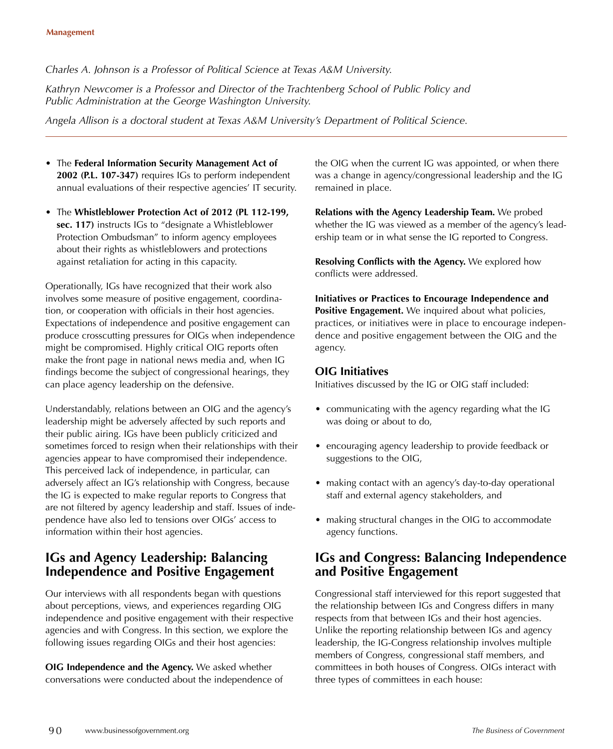## *Charles A. Johnson is a Professor of Political Science at Texas A&M University.*

*Kathryn Newcomer is a Professor and Director of the Trachtenberg School of Public Policy and Public Administration at the George Washington University.*

*Angela Allison is a doctoral student at Texas A&M University's Department of Political Science.*

- The **Federal Information Security Management Act of 2002 (P.L. 107-347)** requires IGs to perform independent annual evaluations of their respective agencies' IT security.
- The **Whistleblower Protection Act of 2012 (PL 112-199, sec. 117)** instructs IGs to "designate a Whistleblower Protection Ombudsman" to inform agency employees about their rights as whistleblowers and protections against retaliation for acting in this capacity.

Operationally, IGs have recognized that their work also involves some measure of positive engagement, coordination, or cooperation with officials in their host agencies. Expectations of independence and positive engagement can produce crosscutting pressures for OIGs when independence might be compromised. Highly critical OIG reports often make the front page in national news media and, when IG findings become the subject of congressional hearings, they can place agency leadership on the defensive.

Understandably, relations between an OIG and the agency's leadership might be adversely affected by such reports and their public airing. IGs have been publicly criticized and sometimes forced to resign when their relationships with their agencies appear to have compromised their independence. This perceived lack of independence, in particular, can adversely affect an IG's relationship with Congress, because the IG is expected to make regular reports to Congress that are not filtered by agency leadership and staff. Issues of independence have also led to tensions over OIGs' access to information within their host agencies.

# **IGs and Agency Leadership: Balancing Independence and Positive Engagement**

Our interviews with all respondents began with questions about perceptions, views, and experiences regarding OIG independence and positive engagement with their respective agencies and with Congress. In this section, we explore the following issues regarding OIGs and their host agencies:

**OIG Independence and the Agency.** We asked whether conversations were conducted about the independence of the OIG when the current IG was appointed, or when there was a change in agency/congressional leadership and the IG remained in place.

**Relations with the Agency Leadership Team.** We probed whether the IG was viewed as a member of the agency's leadership team or in what sense the IG reported to Congress.

**Resolving Conflicts with the Agency.** We explored how conflicts were addressed.

**Initiatives or Practices to Encourage Independence and**  Positive Engagement. We inquired about what policies, practices, or initiatives were in place to encourage independence and positive engagement between the OIG and the agency.

# **OIG Initiatives**

Initiatives discussed by the IG or OIG staff included:

- communicating with the agency regarding what the IG was doing or about to do,
- encouraging agency leadership to provide feedback or suggestions to the OIG,
- making contact with an agency's day-to-day operational staff and external agency stakeholders, and
- making structural changes in the OIG to accommodate agency functions.

# **IGs and Congress: Balancing Independence and Positive Engagement**

Congressional staff interviewed for this report suggested that the relationship between IGs and Congress differs in many respects from that between IGs and their host agencies. Unlike the reporting relationship between IGs and agency leadership, the IG-Congress relationship involves multiple members of Congress, congressional staff members, and committees in both houses of Congress. OIGs interact with three types of committees in each house: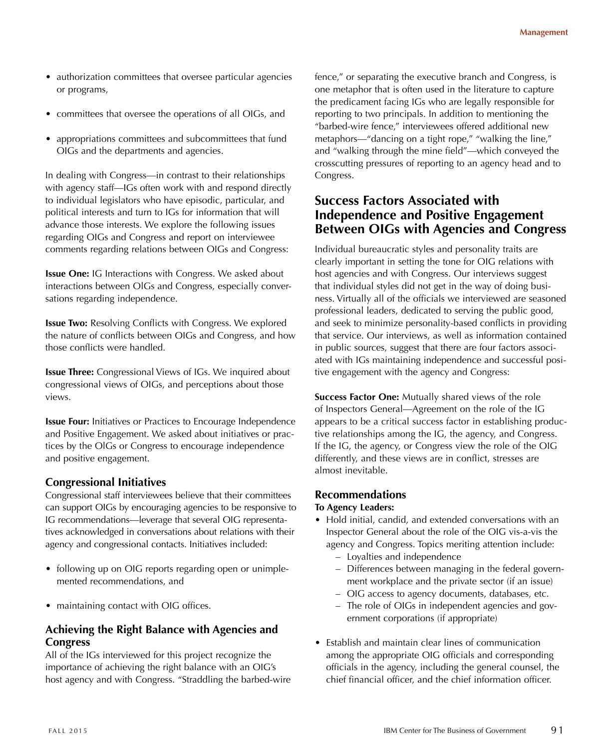- authorization committees that oversee particular agencies or programs,
- committees that oversee the operations of all OIGs, and
- appropriations committees and subcommittees that fund OIGs and the departments and agencies.

In dealing with Congress—in contrast to their relationships with agency staff—IGs often work with and respond directly to individual legislators who have episodic, particular, and political interests and turn to IGs for information that will advance those interests. We explore the following issues regarding OIGs and Congress and report on interviewee comments regarding relations between OIGs and Congress:

**Issue One:** IG Interactions with Congress. We asked about interactions between OlGs and Congress, especially conversations regarding independence.

**Issue Two:** Resolving Conflicts with Congress. We explored the nature of conflicts between OIGs and Congress, and how those conflicts were handled.

**Issue Three:** Congressional Views of IGs. We inquired about congressional views of OIGs, and perceptions about those views.

**Issue Four:** Initiatives or Practices to Encourage Independence and Positive Engagement. We asked about initiatives or practices by the OlGs or Congress to encourage independence and positive engagement.

## **Congressional Initiatives**

Congressional staff interviewees believe that their committees can support OIGs by encouraging agencies to be responsive to IG recommendations—leverage that several OIG representatives acknowledged in conversations about relations with their agency and congressional contacts. Initiatives included:

- following up on OIG reports regarding open or unimplemented recommendations, and
- maintaining contact with OIG offices.

# **Achieving the Right Balance with Agencies and Congress**

All of the IGs interviewed for this project recognize the importance of achieving the right balance with an OIG's host agency and with Congress. "Straddling the barbed-wire fence," or separating the executive branch and Congress, is one metaphor that is often used in the literature to capture the predicament facing IGs who are legally responsible for reporting to two principals. In addition to mentioning the "barbed-wire fence," interviewees offered additional new metaphors—"dancing on a tight rope," "walking the line," and "walking through the mine field"—which conveyed the crosscutting pressures of reporting to an agency head and to Congress.

# **Success Factors Associated with Independence and Positive Engagement Between OIGs with Agencies and Congress**

Individual bureaucratic styles and personality traits are clearly important in setting the tone for OIG relations with host agencies and with Congress. Our interviews suggest that individual styles did not get in the way of doing business. Virtually all of the officials we interviewed are seasoned professional leaders, dedicated to serving the public good, and seek to minimize personality-based conflicts in providing that service. Our interviews, as well as information contained in public sources, suggest that there are four factors associated with IGs maintaining independence and successful positive engagement with the agency and Congress:

**Success Factor One:** Mutually shared views of the role of Inspectors General—Agreement on the role of the IG appears to be a critical success factor in establishing productive relationships among the IG, the agency, and Congress. If the IG, the agency, or Congress view the role of the OIG differently, and these views are in conflict, stresses are almost inevitable.

#### **Recommendations**

#### **To Agency Leaders:**

- Hold initial, candid, and extended conversations with an Inspector General about the role of the OIG vis-a-vis the agency and Congress. Topics meriting attention include:
	- Loyalties and independence
	- Differences between managing in the federal government workplace and the private sector (if an issue)
	- OIG access to agency documents, databases, etc.
	- The role of OIGs in independent agencies and government corporations (if appropriate)
- Establish and maintain clear lines of communication among the appropriate OIG officials and corresponding officials in the agency, including the general counsel, the chief financial officer, and the chief information officer.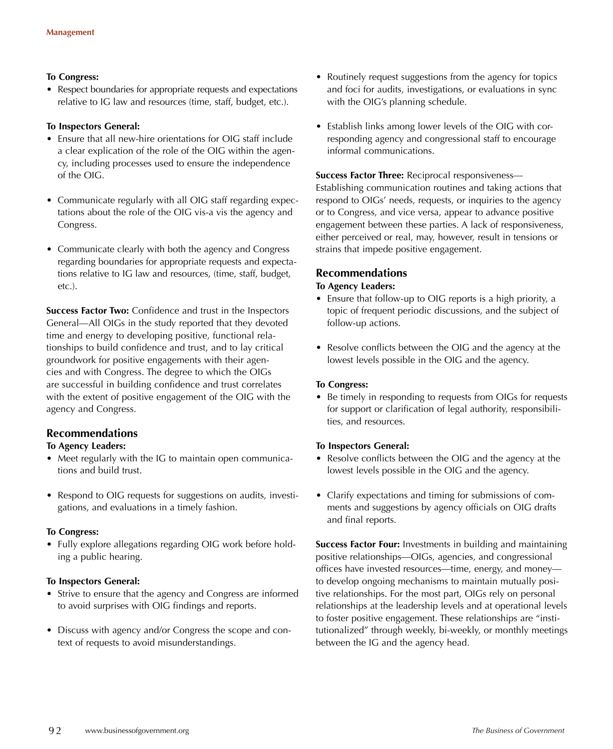#### **To Congress:**

• Respect boundaries for appropriate requests and expectations relative to IG law and resources (time, staff, budget, etc.).

#### **To Inspectors General:**

- Ensure that all new-hire orientations for OIG staff include a clear explication of the role of the OIG within the agency, including processes used to ensure the independence of the OIG.
- Communicate regularly with all OIG staff regarding expectations about the role of the OIG vis-a vis the agency and Congress.
- Communicate clearly with both the agency and Congress regarding boundaries for appropriate requests and expectations relative to IG law and resources, (time, staff, budget, etc.).

**Success Factor Two:** Confidence and trust in the Inspectors General—All OIGs in the study reported that they devoted time and energy to developing positive, functional relationships to build confidence and trust, and to lay critical groundwork for positive engagements with their agencies and with Congress. The degree to which the OIGs are successful in building confidence and trust correlates with the extent of positive engagement of the OIG with the agency and Congress.

## **Recommendations**

#### **To Agency Leaders:**

- Meet regularly with the IG to maintain open communications and build trust.
- Respond to OIG requests for suggestions on audits, investigations, and evaluations in a timely fashion.

#### **To Congress:**

• Fully explore allegations regarding OIG work before holding a public hearing.

#### **To Inspectors General:**

- Strive to ensure that the agency and Congress are informed to avoid surprises with OIG findings and reports.
- Discuss with agency and/or Congress the scope and context of requests to avoid misunderstandings.
- Routinely request suggestions from the agency for topics and foci for audits, investigations, or evaluations in sync with the OIG's planning schedule.
- Establish links among lower levels of the OIG with corresponding agency and congressional staff to encourage informal communications.

#### **Success Factor Three:** Reciprocal responsiveness—

Establishing communication routines and taking actions that respond to OIGs' needs, requests, or inquiries to the agency or to Congress, and vice versa, appear to advance positive engagement between these parties. A lack of responsiveness, either perceived or real, may, however, result in tensions or strains that impede positive engagement.

### **Recommendations**

#### **To Agency Leaders:**

- Ensure that follow-up to OIG reports is a high priority, a topic of frequent periodic discussions, and the subject of follow-up actions.
- Resolve conflicts between the OIG and the agency at the lowest levels possible in the OIG and the agency.

#### **To Congress:**

• Be timely in responding to requests from OIGs for requests for support or clarification of legal authority, responsibilities, and resources.

#### **To Inspectors General:**

- Resolve conflicts between the OIG and the agency at the lowest levels possible in the OIG and the agency.
- Clarify expectations and timing for submissions of comments and suggestions by agency officials on OIG drafts and final reports.

**Success Factor Four:** Investments in building and maintaining positive relationships—OIGs, agencies, and congressional offices have invested resources—time, energy, and money to develop ongoing mechanisms to maintain mutually positive relationships. For the most part, OIGs rely on personal relationships at the leadership levels and at operational levels to foster positive engagement. These relationships are "institutionalized" through weekly, bi-weekly, or monthly meetings between the IG and the agency head.